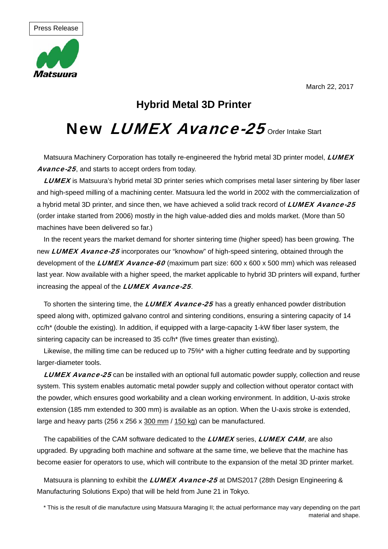

## **Hybrid Metal 3D Printer**

# New LUMEX Avance-25 order Intake Start

Matsuura Machinery Corporation has totally re-engineered the hybrid metal 3D printer model, LUMEX Avance-25, and starts to accept orders from today.

**LUMEX** is Matsuura's hybrid metal 3D printer series which comprises metal laser sintering by fiber laser and high-speed milling of a machining center. Matsuura led the world in 2002 with the commercialization of a hybrid metal 3D printer, and since then, we have achieved a solid track record of LUMEX Avance-25 (order intake started from 2006) mostly in the high value-added dies and molds market. (More than 50 machines have been delivered so far.)

In the recent years the market demand for shorter sintering time (higher speed) has been growing. The new LUMEX Avance-25 incorporates our "knowhow" of high-speed sintering, obtained through the development of the LUMEX Avance-60 (maximum part size:  $600 \times 600 \times 500$  mm) which was released last year. Now available with a higher speed, the market applicable to hybrid 3D printers will expand, further increasing the appeal of the LUMEX Avance-25.

To shorten the sintering time, the LUMEX Avance-25 has a greatly enhanced powder distribution speed along with, optimized galvano control and sintering conditions, ensuring a sintering capacity of 14 cc/h\* (double the existing). In addition, if equipped with a large-capacity 1-kW fiber laser system, the sintering capacity can be increased to 35 cc/h<sup>\*</sup> (five times greater than existing).

Likewise, the milling time can be reduced up to 75%\* with a higher cutting feedrate and by supporting larger-diameter tools.

**LUMEX Avance-25** can be installed with an optional full automatic powder supply, collection and reuse system. This system enables automatic metal powder supply and collection without operator contact with the powder, which ensures good workability and a clean working environment. In addition, U-axis stroke extension (185 mm extended to 300 mm) is available as an option. When the U-axis stroke is extended, large and heavy parts (256 x 256 x 300 mm / 150 kg) can be manufactured.

The capabilities of the CAM software dedicated to the LUMEX series, LUMEX CAM, are also upgraded. By upgrading both machine and software at the same time, we believe that the machine has become easier for operators to use, which will contribute to the expansion of the metal 3D printer market.

Matsuura is planning to exhibit the *LUMEX Avance-25* at DMS2017 (28th Design Engineering & Manufacturing Solutions Expo) that will be held from June 21 in Tokyo.

\* This is the result of die manufacture using Matsuura Maraging II; the actual performance may vary depending on the part material and shape.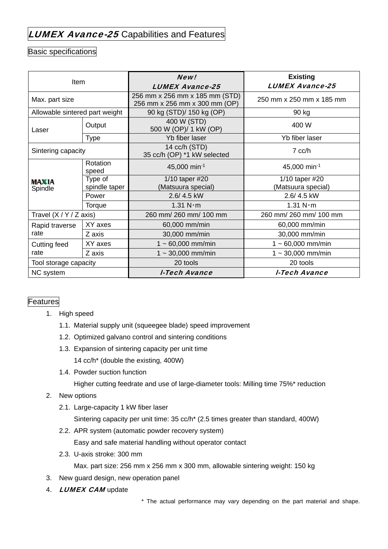## LUMEX Avance-25 Capabilities and Features

### Basic specifications

| Item                           |                   | New!<br><b>LUMEX Avance-25</b>                                  | <b>Existing</b><br><b>LUMEX Avance-25</b> |
|--------------------------------|-------------------|-----------------------------------------------------------------|-------------------------------------------|
| Max. part size                 |                   | 256 mm x 256 mm x 185 mm (STD)<br>256 mm x 256 mm x 300 mm (OP) | 250 mm x 250 mm x 185 mm                  |
| Allowable sintered part weight |                   | 90 kg (STD)/ 150 kg (OP)                                        | 90 kg                                     |
| Laser                          | Output            | 400 W (STD)<br>500 W (OP)/ 1 kW (OP)                            | 400 W                                     |
|                                | <b>Type</b>       | Yb fiber laser                                                  | Yb fiber laser                            |
| Sintering capacity             |                   | 14 cc/h (STD)<br>35 cc/h (OP) *1 kW selected                    | 7 cc/h                                    |
| <b>MAXIA</b><br>Spindle        | Rotation<br>speed | 45,000 min-1                                                    | 45,000 min-1                              |
|                                | Type of           | 1/10 taper #20                                                  | 1/10 taper #20                            |
|                                | spindle taper     | (Matsuura special)                                              | (Matsuura special)                        |
|                                | Power             | 2.6/4.5 kW                                                      | 2.6/4.5 kW                                |
|                                | Torque            | 1.31 N·m                                                        | 1.31 N·m                                  |
| Travel $(X/Y/Z axis)$          |                   | 260 mm/ 260 mm/ 100 mm                                          | 260 mm/ 260 mm/ 100 mm                    |
| Rapid traverse<br>rate         | XY axes           | 60,000 mm/min                                                   | 60,000 mm/min                             |
|                                | Z axis            | 30,000 mm/min                                                   | 30,000 mm/min                             |
| Cutting feed<br>rate           | XY axes           | $1 - 60,000$ mm/min                                             | $1 - 60,000$ mm/min                       |
|                                | Z axis            | $1 \sim 30,000$ mm/min                                          | $1 - 30,000$ mm/min                       |
| Tool storage capacity          |                   | 20 tools                                                        | 20 tools                                  |
| NC system                      |                   | <b>I-Tech Avance</b>                                            | I-Tech Avance                             |

#### Features

- 1. High speed
	- 1.1. Material supply unit (squeegee blade) speed improvement
	- 1.2. Optimized galvano control and sintering conditions
	- 1.3. Expansion of sintering capacity per unit time 14 cc/h\* (double the existing, 400W)
	- 1.4. Powder suction function

Higher cutting feedrate and use of large-diameter tools: Milling time 75%\* reduction

#### 2. New options

- 2.1. Large-capacity 1 kW fiber laser Sintering capacity per unit time: 35 cc/h\* (2.5 times greater than standard, 400W)
- 2.2. APR system (automatic powder recovery system) Easy and safe material handling without operator contact
- 2.3. U-axis stroke: 300 mm

Max. part size: 256 mm x 256 mm x 300 mm, allowable sintering weight: 150 kg

- 3. New guard design, new operation panel
- 4. **LUMEX CAM** update

\* The actual performance may vary depending on the part material and shape.